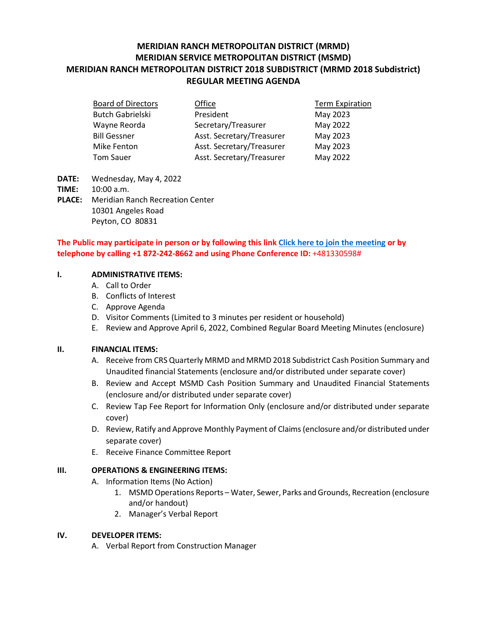# **MERIDIAN RANCH METROPOLITAN DISTRICT (MRMD) MERIDIAN SERVICE METROPOLITAN DISTRICT (MSMD) MERIDIAN RANCH METROPOLITAN DISTRICT 2018 SUBDISTRICT (MRMD 2018 Subdistrict) REGULAR MEETING AGENDA**

| <b>Board of Directors</b> | Office                    | <b>Term Expiration</b> |
|---------------------------|---------------------------|------------------------|
| <b>Butch Gabrielski</b>   | President                 | May 2023               |
| Wayne Reorda              | Secretary/Treasurer       | May 2022               |
| <b>Bill Gessner</b>       | Asst. Secretary/Treasurer | May 2023               |
| Mike Fenton               | Asst. Secretary/Treasurer | May 2023               |
| <b>Tom Sauer</b>          | Asst. Secretary/Treasurer | May 2022               |

- **DATE:** Wednesday, May 4, 2022
- **TIME:** 10:00 a.m.
- **PLACE:** Meridian Ranch Recreation Center 10301 Angeles Road Peyton, CO 80831

## **The Public may participate in person or by following this link Click here to join the meeting or by telephone by calling +1 872-242-8662 and using Phone Conference ID:** +481330598#

## **I. ADMINISTRATIVE ITEMS:**

- A. Call to Order
- B. Conflicts of Interest
- C. Approve Agenda
- D. Visitor Comments (Limited to 3 minutes per resident or household)
- E. Review and Approve April 6, 2022, Combined Regular Board Meeting Minutes (enclosure)

### **II. FINANCIAL ITEMS:**

- A. Receive from CRS Quarterly MRMD and MRMD 2018 Subdistrict Cash Position Summary and Unaudited financial Statements (enclosure and/or distributed under separate cover)
- B. Review and Accept MSMD Cash Position Summary and Unaudited Financial Statements (enclosure and/or distributed under separate cover)
- C. Review Tap Fee Report for Information Only (enclosure and/or distributed under separate cover)
- D. Review, Ratify and Approve Monthly Payment of Claims (enclosure and/or distributed under separate cover)
- E. Receive Finance Committee Report

# **III. OPERATIONS & ENGINEERING ITEMS:**

- A. Information Items (No Action)
	- 1. MSMD Operations Reports Water, Sewer, Parks and Grounds, Recreation (enclosure and/or handout)
	- 2. Manager's Verbal Report

### **IV. DEVELOPER ITEMS:**

A. Verbal Report from Construction Manager